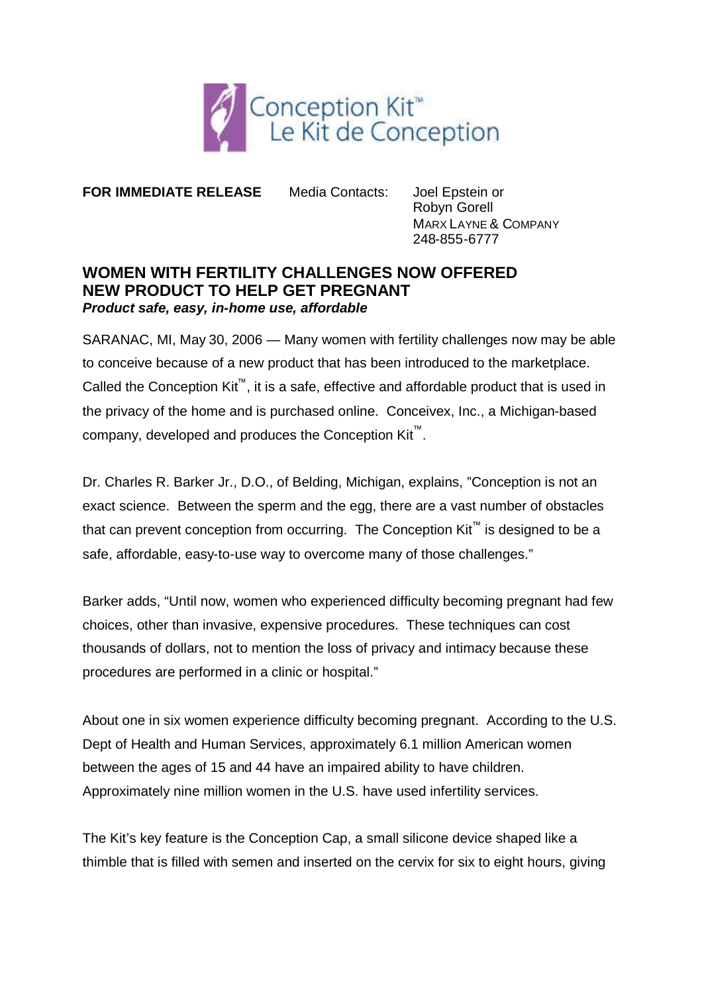

**FOR IMMEDIATE RELEASE** Media Contacts: Joel Epstein or

Robyn Gorell MARX LAYNE & COMPANY 248-855-6777

## **WOMEN WITH FERTILITY CHALLENGES NOW OFFERED NEW PRODUCT TO HELP GET PREGNANT** *Product safe, easy, in-home use, affordable*

SARANAC, MI, May 30, 2006 — Many women with fertility challenges now may be able to conceive because of a new product that has been introduced to the marketplace. Called the Conception Kit™, it is a safe, effective and affordable product that is used in the privacy of the home and is purchased online. Conceivex, Inc., a Michigan-based company, developed and produces the Conception Kit<sup>™</sup>.

Dr. Charles R. Barker Jr., D.O., of Belding, Michigan, explains, "Conception is not an exact science. Between the sperm and the egg, there are a vast number of obstacles that can prevent conception from occurring. The Conception Kit™ is designed to be a safe, affordable, easy-to-use way to overcome many of those challenges."

Barker adds, "Until now, women who experienced difficulty becoming pregnant had few choices, other than invasive, expensive procedures. These techniques can cost thousands of dollars, not to mention the loss of privacy and intimacy because these procedures are performed in a clinic or hospital."

About one in six women experience difficulty becoming pregnant. According to the U.S. Dept of Health and Human Services, approximately 6.1 million American women between the ages of 15 and 44 have an impaired ability to have children. Approximately nine million women in the U.S. have used infertility services.

The Kit's key feature is the Conception Cap, a small silicone device shaped like a thimble that is filled with semen and inserted on the cervix for six to eight hours, giving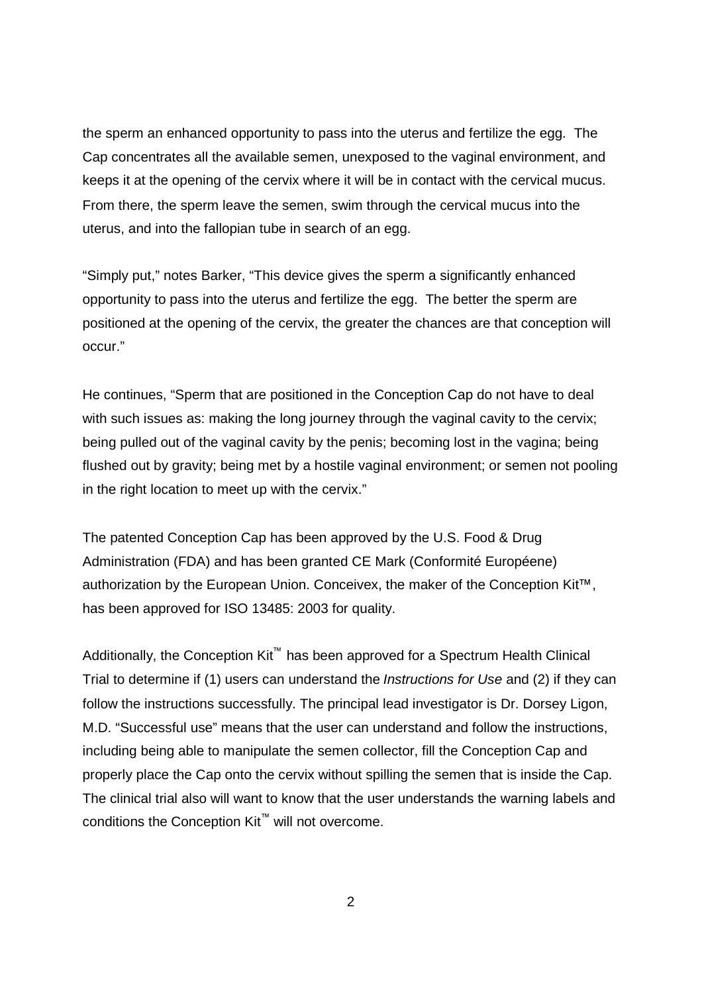the sperm an enhanced opportunity to pass into the uterus and fertilize the egg. The Cap concentrates all the available semen, unexposed to the vaginal environment, and keeps it at the opening of the cervix where it will be in contact with the cervical mucus. From there, the sperm leave the semen, swim through the cervical mucus into the uterus, and into the fallopian tube in search of an egg.

"Simply put," notes Barker, "This device gives the sperm a significantly enhanced opportunity to pass into the uterus and fertilize the egg. The better the sperm are positioned at the opening of the cervix, the greater the chances are that conception will occur."

He continues, "Sperm that are positioned in the Conception Cap do not have to deal with such issues as: making the long journey through the vaginal cavity to the cervix; being pulled out of the vaginal cavity by the penis; becoming lost in the vagina; being flushed out by gravity; being met by a hostile vaginal environment; or semen not pooling in the right location to meet up with the cervix."

The patented Conception Cap has been approved by the U.S. Food & Drug Administration (FDA) and has been granted CE Mark (Conformité Européene) authorization by the European Union. Conceivex, the maker of the Conception Kit™, has been approved for ISO 13485: 2003 for quality.

Additionally, the Conception Kit<sup>™</sup> has been approved for a Spectrum Health Clinical Trial to determine if (1) users can understand the *Instructions for Use* and (2) if they can follow the instructions successfully. The principal lead investigator is Dr. Dorsey Ligon, M.D. "Successful use" means that the user can understand and follow the instructions, including being able to manipulate the semen collector, fill the Conception Cap and properly place the Cap onto the cervix without spilling the semen that is inside the Cap. The clinical trial also will want to know that the user understands the warning labels and conditions the Conception Kit™ will not overcome.

2